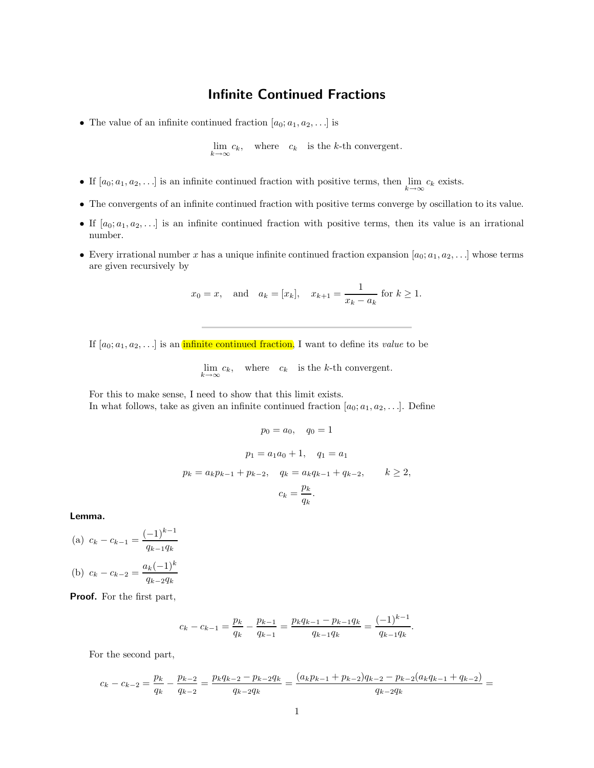## Infinite Continued Fractions

• The value of an infinite continued fraction  $[a_0; a_1, a_2, \ldots]$  is

 $\lim_{k \to \infty} c_k$ , where  $c_k$  is the k-th convergent.

- If  $[a_0; a_1, a_2, \ldots]$  is an infinite continued fraction with positive terms, then  $\lim_{k \to \infty} c_k$  exists.
- The convergents of an infinite continued fraction with positive terms converge by oscillation to its value.
- If  $[a_0; a_1, a_2, \ldots]$  is an infinite continued fraction with positive terms, then its value is an irrational number.
- Every irrational number x has a unique infinite continued fraction expansion  $[a_0; a_1, a_2, \ldots]$  whose terms are given recursively by

$$
x_0 = x
$$
, and  $a_k = [x_k]$ ,  $x_{k+1} = \frac{1}{x_k - a_k}$  for  $k \ge 1$ .

If  $[a_0; a_1, a_2, \ldots]$  is an infinite continued fraction, I want to define its value to be

$$
\lim_{k \to \infty} c_k, \quad \text{where} \quad c_k \quad \text{is the } k\text{-th convergent}.
$$

For this to make sense, I need to show that this limit exists. In what follows, take as given an infinite continued fraction  $[a_0; a_1, a_2, \ldots]$ . Define

$$
p_0 = a_0, \quad q_0 = 1
$$
  
\n
$$
p_1 = a_1 a_0 + 1, \quad q_1 = a_1
$$
  
\n
$$
p_k = a_k p_{k-1} + p_{k-2}, \quad q_k = a_k q_{k-1} + q_{k-2}, \quad k \ge 2,
$$
  
\n
$$
c_k = \frac{p_k}{q_k}.
$$

Lemma.

(a) 
$$
c_k - c_{k-1} = \frac{(-1)^{k-1}}{q_{k-1}q_k}
$$
  
\n(b)  $c_k - c_{k-2} = \frac{a_k(-1)^k}{q_{k-2}q_k}$ 

Proof. For the first part,

$$
c_k - c_{k-1} = \frac{p_k}{q_k} - \frac{p_{k-1}}{q_{k-1}} = \frac{p_k q_{k-1} - p_{k-1} q_k}{q_{k-1} q_k} = \frac{(-1)^{k-1}}{q_{k-1} q_k}.
$$

For the second part,

$$
c_k - c_{k-2} = \frac{p_k}{q_k} - \frac{p_{k-2}}{q_{k-2}} = \frac{p_k q_{k-2} - p_{k-2} q_k}{q_{k-2} q_k} = \frac{(a_k p_{k-1} + p_{k-2}) q_{k-2} - p_{k-2} (a_k q_{k-1} + q_{k-2})}{q_{k-2} q_k} =
$$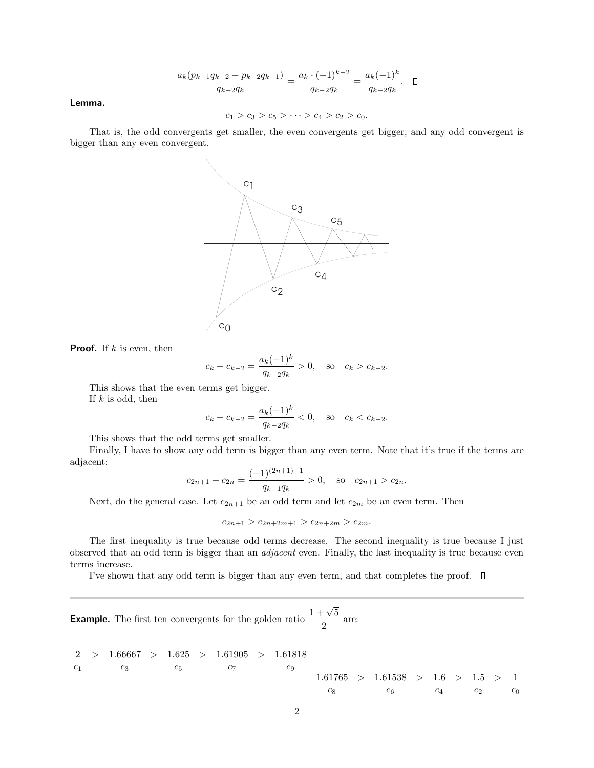$$
\frac{a_k(p_{k-1}q_{k-2}-p_{k-2}q_{k-1})}{q_{k-2}q_k} = \frac{a_k \cdot (-1)^{k-2}}{q_{k-2}q_k} = \frac{a_k(-1)^k}{q_{k-2}q_k}. \quad \Box
$$

Lemma.

$$
c_1 > c_3 > c_5 > \cdots > c_4 > c_2 > c_0.
$$

That is, the odd convergents get smaller, the even convergents get bigger, and any odd convergent is bigger than any even convergent.



**Proof.** If  $k$  is even, then

$$
c_k - c_{k-2} = \frac{a_k(-1)^k}{q_{k-2}q_k} > 0
$$
, so  $c_k > c_{k-2}$ .

This shows that the even terms get bigger. If  $k$  is odd, then

$$
c_k - c_{k-2} = \frac{a_k(-1)^k}{q_{k-2}q_k} < 0
$$
, so  $c_k < c_{k-2}$ .

This shows that the odd terms get smaller.

Finally, I have to show any odd term is bigger than any even term. Note that it's true if the terms are adjacent:

$$
c_{2n+1} - c_{2n} = \frac{(-1)^{(2n+1)-1}}{q_{k-1}q_k} > 0, \text{ so } c_{2n+1} > c_{2n}.
$$

Next, do the general case. Let  $c_{2n+1}$  be an odd term and let  $c_{2m}$  be an even term. Then

 $c_{2n+1} > c_{2n+2m+1} > c_{2n+2m} > c_{2m}.$ 

The first inequality is true because odd terms decrease. The second inequality is true because I just observed that an odd term is bigger than an adjacent even. Finally, the last inequality is true because even terms increase.

I've shown that any odd term is bigger than any even term, and that completes the proof.  $\Box$ 

**Example.** The first ten convergents for the golden ratio  $\frac{1+\sqrt{5}}{2}$  $\frac{1}{2}$  are:

$$
\begin{array}{ccccccccc}\n2 > & 1.66667 > & 1.625 > & 1.61905 > & 1.61818 \\
c_1 & & & & & & & & \\
c_3 & & & & & & & & \\
c_5 & & & & & & & & \\
c_6 & & & & & & & & \\
c_8 & & & & & & & & \\
c_9 & & & & & & & & \\
c_8 & & & & & & & & \\
c_9 & & & & & & & & \\
c_1 & & & & & & & & \\
c_2 & & & & & & & & \\
c_3 & & & & & & & & \\
c_4 & & & & & & & & \\
c_5 & & & & & & & & \\
c_6 & & & & & & & & \\
c_7 & & & & & & & & \\
c_8 & & & & & & & & \\
c_9 & & & & & & & & \\
c_1 & & & & & & & & & \\
c_2 & & & & & & & & \\
c_3 & & & & & & & & & \\
c_4 & & & & & & & & & \\
c_5 & & & & & & & & & \\
c_6 & & & & & & & & & \\
c_7 & & & & & & & & & \\
c_8 &
$$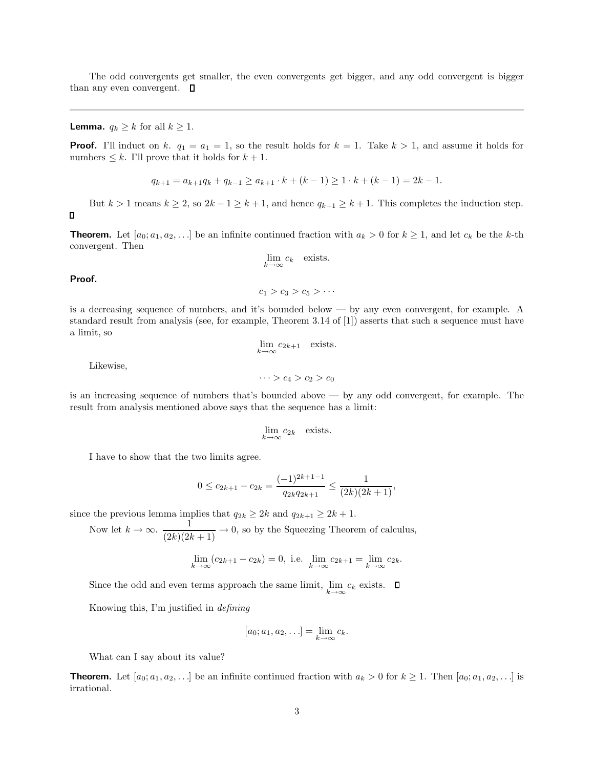The odd convergents get smaller, the even convergents get bigger, and any odd convergent is bigger than any even convergent.  $\square$ 

**Lemma.**  $q_k \geq k$  for all  $k \geq 1$ .

**Proof.** I'll induct on k.  $q_1 = a_1 = 1$ , so the result holds for  $k = 1$ . Take  $k > 1$ , and assume it holds for numbers  $\leq k$ . I'll prove that it holds for  $k + 1$ .

$$
q_{k+1} = a_{k+1}q_k + q_{k-1} \ge a_{k+1} \cdot k + (k-1) \ge 1 \cdot k + (k-1) = 2k - 1.
$$

But  $k > 1$  means  $k \ge 2$ , so  $2k - 1 \ge k + 1$ , and hence  $q_{k+1} \ge k+1$ . This completes the induction step.

**Theorem.** Let  $[a_0; a_1, a_2, \ldots]$  be an infinite continued fraction with  $a_k > 0$  for  $k \ge 1$ , and let  $c_k$  be the k-th convergent. Then

$$
\lim_{k \to \infty} c_k
$$
 exists.

 $c_1 > c_3 > c_5 > \cdots$ 

Proof.

 $\Box$ 

is a decreasing sequence of numbers, and it's bounded below — by any even convergent, for example. A standard result from analysis (see, for example, Theorem 3.14 of [1]) asserts that such a sequence must have a limit, so

$$
\lim_{k \to \infty} c_{2k+1}
$$
 exists.

Likewise,

 $\cdots > c_4 > c_2 > c_0$ 

is an increasing sequence of numbers that's bounded above — by any odd convergent, for example. The result from analysis mentioned above says that the sequence has a limit:

$$
\lim_{k \to \infty} c_{2k} \quad \text{exists.}
$$

I have to show that the two limits agree.

$$
0 \le c_{2k+1} - c_{2k} = \frac{(-1)^{2k+1-1}}{q_{2k}q_{2k+1}} \le \frac{1}{(2k)(2k+1)},
$$

since the previous lemma implies that  $q_{2k} \geq 2k$  and  $q_{2k+1} \geq 2k+1$ .

Now let  $k \to \infty$ .  $\frac{1}{(2k)(2k+1)} \to 0$ , so by the Squeezing Theorem of calculus,

$$
\lim_{k \to \infty} (c_{2k+1} - c_{2k}) = 0, \text{ i.e. } \lim_{k \to \infty} c_{2k+1} = \lim_{k \to \infty} c_{2k}.
$$

Since the odd and even terms approach the same limit,  $\lim_{k \to \infty} c_k$  exists.

Knowing this, I'm justified in defining

$$
[a_0;a_1,a_2,\ldots]=\lim_{k\to\infty}c_k.
$$

What can I say about its value?

**Theorem.** Let  $[a_0; a_1, a_2, \ldots]$  be an infinite continued fraction with  $a_k > 0$  for  $k \ge 1$ . Then  $[a_0; a_1, a_2, \ldots]$  is irrational.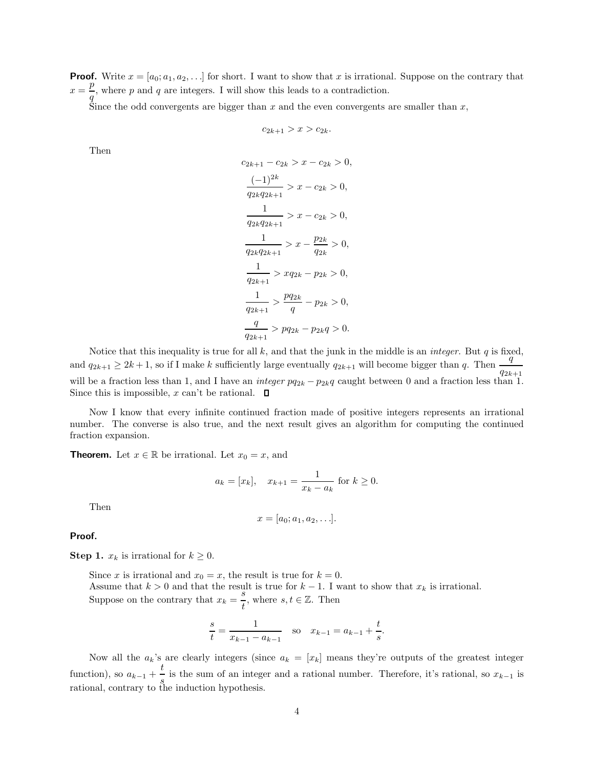**Proof.** Write  $x = [a_0; a_1, a_2, \ldots]$  for short. I want to show that x is irrational. Suppose on the contrary that  $x = \frac{p}{r}$ , where p and q are integers. I will show this leads to a contradiction. q

Since the odd convergents are bigger than  $x$  and the even convergents are smaller than  $x$ ,

$$
c_{2k+1} > x > c_{2k}
$$

Then

$$
c_{2k+1} - c_{2k} > x - c_{2k} > 0,
$$
  
\n
$$
\frac{(-1)^{2k}}{q_{2k}q_{2k+1}} > x - c_{2k} > 0,
$$
  
\n
$$
\frac{1}{q_{2k}q_{2k+1}} > x - c_{2k} > 0,
$$
  
\n
$$
\frac{1}{q_{2k}q_{2k+1}} > x - \frac{p_{2k}}{q_{2k}} > 0,
$$
  
\n
$$
\frac{1}{q_{2k+1}} > xq_{2k} - p_{2k} > 0,
$$
  
\n
$$
\frac{1}{q_{2k+1}} > \frac{pq_{2k}}{q} - p_{2k} > 0,
$$
  
\n
$$
\frac{q}{q_{2k+1}} > pq_{2k} - p_{2k}q > 0.
$$

Notice that this inequality is true for all  $k$ , and that the junk in the middle is an *integer*. But  $q$  is fixed, and  $q_{2k+1} \ge 2k+1$ , so if I make k sufficiently large eventually  $q_{2k+1}$  will become bigger than q. Then  $\frac{q}{q_{2k+1}}$ will be a fraction less than 1, and I have an *integer*  $pq_{2k} - p_{2k}q$  caught between 0 and a fraction less than 1. Since this is impossible, x can't be rational.  $\Box$ 

Now I know that every infinite continued fraction made of positive integers represents an irrational number. The converse is also true, and the next result gives an algorithm for computing the continued fraction expansion.

**Theorem.** Let  $x \in \mathbb{R}$  be irrational. Let  $x_0 = x$ , and

$$
a_k = [x_k],
$$
  $x_{k+1} = \frac{1}{x_k - a_k}$  for  $k \ge 0$ .

Then

$$
x=[a_0;a_1,a_2,\ldots].
$$

Proof.

**Step 1.**  $x_k$  is irrational for  $k \geq 0$ .

Since x is irrational and  $x_0 = x$ , the result is true for  $k = 0$ . Assume that  $k > 0$  and that the result is true for  $k - 1$ . I want to show that  $x_k$  is irrational. Suppose on the contrary that  $x_k = \frac{s}{l}$  $\frac{s}{t}$ , where  $s, t \in \mathbb{Z}$ . Then

$$
\frac{s}{t} = \frac{1}{x_{k-1} - a_{k-1}} \quad \text{so} \quad x_{k-1} = a_{k-1} + \frac{t}{s}.
$$

Now all the  $a_k$ 's are clearly integers (since  $a_k = [x_k]$  means they're outputs of the greatest integer function), so  $a_{k-1} + \frac{t}{a}$ is the sum of an integer and a rational number. Therefore, it's rational, so  $x_{k-1}$  is rational, contrary to the induction hypothesis.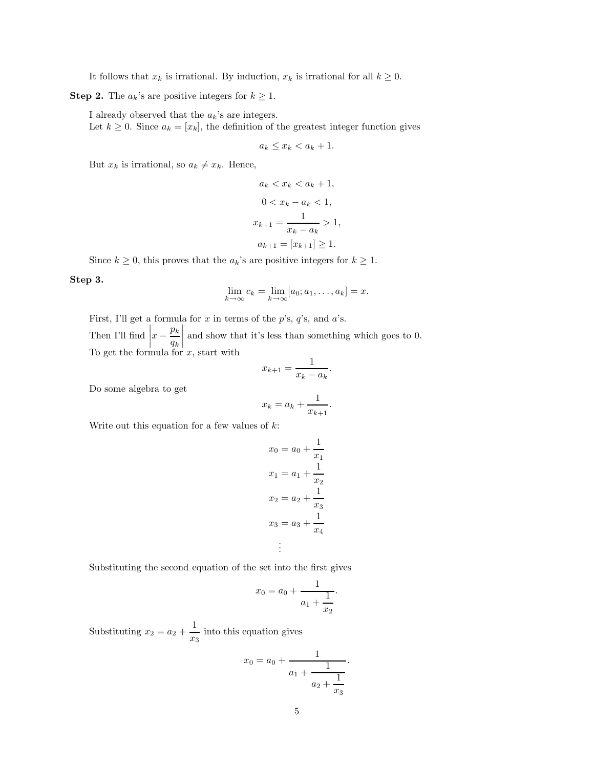It follows that  $x_k$  is irrational. By induction,  $x_k$  is irrational for all  $k \geq 0$ .

**Step 2.** The  $a_k$ 's are positive integers for  $k \geq 1$ .

I already observed that the  $a_k$ 's are integers.

Let  $k \geq 0$ . Since  $a_k = [x_k]$ , the definition of the greatest integer function gives

$$
a_k \le x_k < a_k + 1.
$$

But  $x_k$  is irrational, so  $a_k \neq x_k$ . Hence,

$$
a_k < x_k < a_k + 1,
$$
\n
$$
0 < x_k - a_k < 1,
$$
\n
$$
x_{k+1} = \frac{1}{x_k - a_k} > 1,
$$
\n
$$
a_{k+1} = [x_{k+1}] \ge 1.
$$

Since  $k \geq 0$ , this proves that the  $a_k$ 's are positive integers for  $k \geq 1$ .

Step 3.

$$
\lim_{k \to \infty} c_k = \lim_{k \to \infty} [a_0; a_1, \dots, a_k] = x.
$$

First, I'll get a formula for  $x$  in terms of the  $p$ 's,  $q$ 's, and  $a$ 's. Then I'll find  $\left| x - \frac{p_k}{q_k} \right|$  $q_k$  $\begin{array}{c} \hline \end{array}$ and show that it's less than something which goes to 0. To get the formula for  $x$ , start with

$$
x_{k+1} = \frac{1}{x_k - a_k}
$$

.

.

Do some algebra to get

$$
x_k = a_k + \frac{1}{x_{k+1}}
$$

Write out this equation for a few values of  $k$ :

$$
x_0 = a_0 + \frac{1}{x_1}
$$

$$
x_1 = a_1 + \frac{1}{x_2}
$$

$$
x_2 = a_2 + \frac{1}{x_3}
$$

$$
x_3 = a_3 + \frac{1}{x_4}
$$

$$
\vdots
$$

Substituting the second equation of the set into the first gives

$$
x_0 = a_0 + \frac{1}{a_1 + \frac{1}{x_2}}.
$$

Substituting  $x_2 = a_2 + \frac{1}{x_2}$  $\frac{1}{x_3}$  into this equation gives

$$
x_0 = a_0 + \cfrac{1}{a_1 + \cfrac{1}{a_2 + \cfrac{1}{x_3}}}.
$$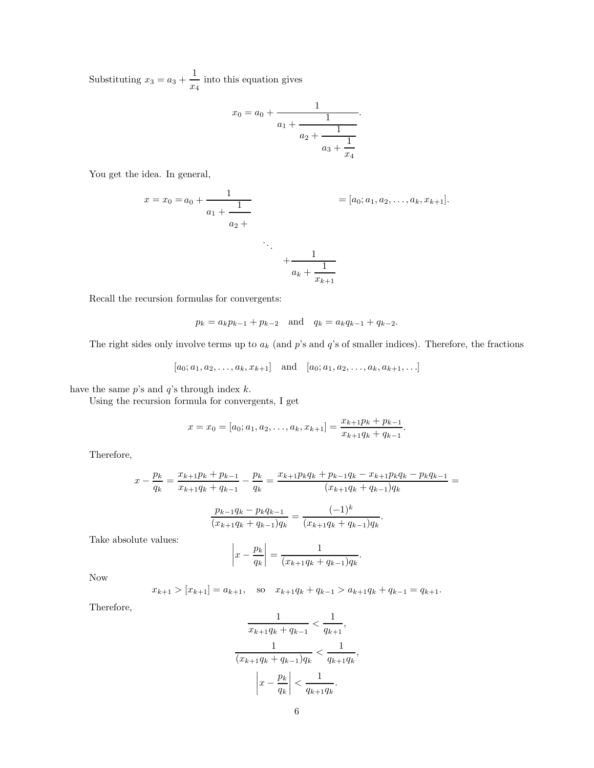Substituting  $x_3 = a_3 + \frac{1}{x_3}$  $\frac{1}{x_4}$  into this equation gives

$$
x_0 = a_0 + \cfrac{1}{a_1 + \cfrac{1}{a_2 + \cfrac{1}{a_3 + \cfrac{1}{x_4}}}}.
$$

You get the idea. In general,

$$
x = x_0 = a_0 + \frac{1}{a_1 + \frac{1}{a_2 + \dots + \frac{1}{a_k + \frac{1}{x_{k+1}}}}} = [a_0; a_1, a_2, \dots, a_k, x_{k+1}].
$$

Recall the recursion formulas for convergents:

$$
p_k = a_k p_{k-1} + p_{k-2}
$$
 and  $q_k = a_k q_{k-1} + q_{k-2}$ .

The right sides only involve terms up to  $a_k$  (and p's and q's of smaller indices). Therefore, the fractions

 $[a_0; a_1, a_2, \ldots, a_k, x_{k+1}]$  and  $[a_0; a_1, a_2, \ldots, a_k, a_{k+1}, \ldots]$ 

have the same  $p$ 's and  $q$ 's through index  $k$ .

Using the recursion formula for convergents, I get

$$
x = x_0 = [a_0; a_1, a_2, \dots, a_k, x_{k+1}] = \frac{x_{k+1}p_k + p_{k-1}}{x_{k+1}q_k + q_{k-1}}.
$$

Therefore,

$$
x - \frac{p_k}{q_k} = \frac{x_{k+1}p_k + p_{k-1}}{x_{k+1}q_k + q_{k-1}} - \frac{p_k}{q_k} = \frac{x_{k+1}p_kq_k + p_{k-1}q_k - x_{k+1}p_kq_k - p_kq_{k-1}}{(x_{k+1}q_k + q_{k-1})q_k} = \frac{p_{k-1}q_k - p_kq_{k-1}}{(x_{k+1}q_k + q_{k-1})q_k} = \frac{(-1)^k}{(x_{k+1}q_k + q_{k-1})q_k}.
$$

Take absolute values:

$$
\left| x - \frac{p_k}{q_k} \right| = \frac{1}{(x_{k+1}q_k + q_{k-1})q_k}.
$$

Now

$$
x_{k+1} > [x_{k+1}] = a_{k+1}
$$
, so  $x_{k+1}q_k + q_{k-1} > a_{k+1}q_k + q_{k-1} = q_{k+1}$ .

Therefore,

$$
\frac{1}{x_{k+1}q_k + q_{k-1}} < \frac{1}{q_{k+1}},
$$
\n
$$
\frac{1}{(x_{k+1}q_k + q_{k-1})q_k} < \frac{1}{q_{k+1}q_k},
$$
\n
$$
\left| x - \frac{p_k}{q_k} \right| < \frac{1}{q_{k+1}q_k}.
$$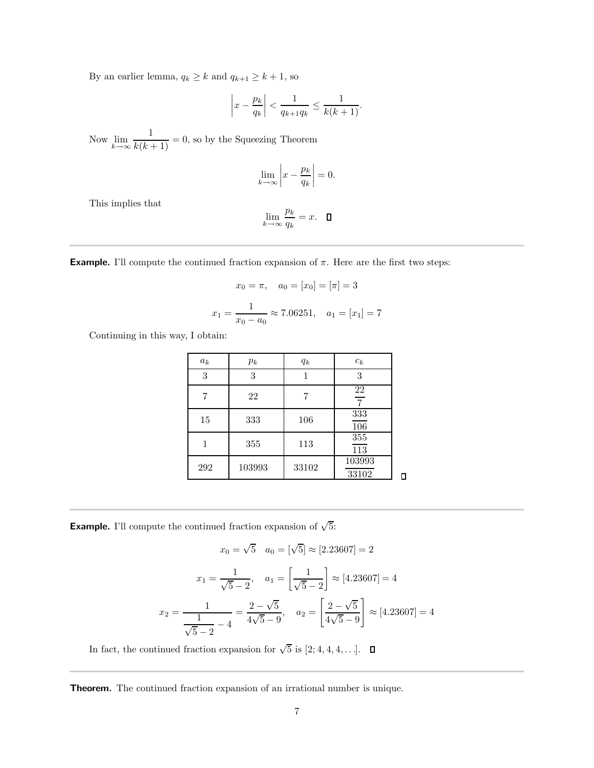By an earlier lemma,  $q_k \ge k$  and  $q_{k+1} \ge k+1$ , so

$$
\left|x - \frac{p_k}{q_k}\right| < \frac{1}{q_{k+1}q_k} \le \frac{1}{k(k+1)}.
$$

Now  $\lim_{k\to\infty}$  $\frac{1}{k(k+1)} = 0$ , so by the Squeezing Theorem

$$
\lim_{k \to \infty} \left| x - \frac{p_k}{q_k} \right| = 0.
$$

This implies that

$$
\lim_{k \to \infty} \frac{p_k}{q_k} = x. \quad \Box
$$

**Example.** I'll compute the continued fraction expansion of  $\pi$ . Here are the first two steps:

$$
x_0 = \pi
$$
,  $a_0 = [x_0] = [\pi] = 3$   
 $x_1 = \frac{1}{x_0 - a_0} \approx 7.06251$ ,  $a_1 = [x_1] = 7$ 

Continuing in this way, I obtain:

| $a_k$ | $p_k$  | $q_k$ | $c_k$                            |   |
|-------|--------|-------|----------------------------------|---|
| 3     | 3      |       | 3                                |   |
| 7     | 22     |       | $\frac{22}{1}$<br>$\overline{7}$ |   |
| 15    | 333    | 106   | 333<br>$\overline{106}$          |   |
|       | 355    | 113   | 355<br>$\overline{113}$          |   |
| 292   | 103993 | 33102 | 103993<br>33102                  | Π |

**Example.** I'll compute the continued fraction expansion of  $\sqrt{5}$ :

$$
x_0 = \sqrt{5} \quad a_0 = [\sqrt{5}] \approx [2.23607] = 2
$$

$$
x_1 = \frac{1}{\sqrt{5} - 2}, \quad a_1 = \left[\frac{1}{\sqrt{5} - 2}\right] \approx [4.23607] = 4
$$

$$
x_2 = \frac{1}{\frac{1}{\sqrt{5} - 2} - 4} = \frac{2 - \sqrt{5}}{4\sqrt{5} - 9}, \quad a_2 = \left[\frac{2 - \sqrt{5}}{4\sqrt{5} - 9}\right] \approx [4.23607] = 4
$$

In fact, the continued fraction expansion for  $\sqrt{5}$  is [2; 4, 4, 4, ...].

Theorem. The continued fraction expansion of an irrational number is unique.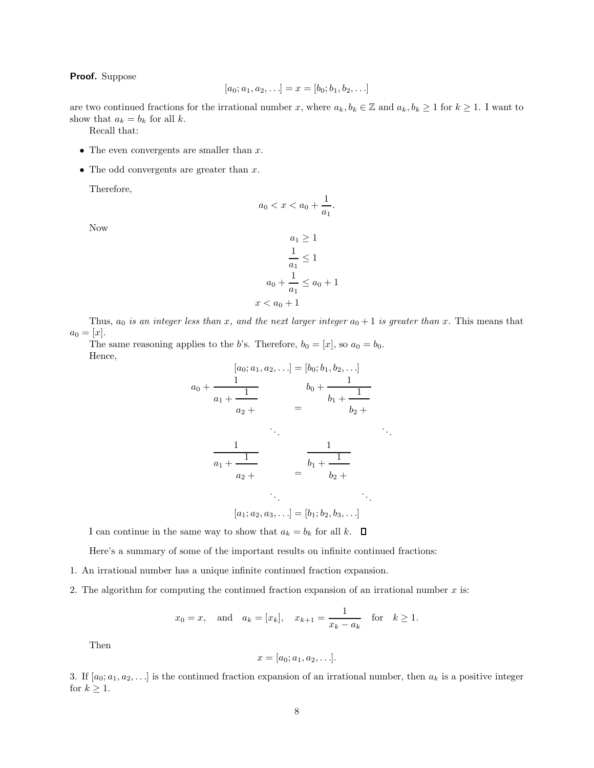## Proof. Suppose

$$
[a_0; a_1, a_2, \ldots] = x = [b_0; b_1, b_2, \ldots]
$$

are two continued fractions for the irrational number x, where  $a_k, b_k \in \mathbb{Z}$  and  $a_k, b_k \geq 1$  for  $k \geq 1$ . I want to show that  $a_k = b_k$  for all k.

Recall that:

- The even convergents are smaller than  $x$ .
- The odd convergents are greater than  $x$ .

Therefore,

$$
a_0 < x < a_0 + \frac{1}{a_1}
$$

.

Now

$$
a_1 \ge 1
$$

$$
\frac{1}{a_1} \le 1
$$

$$
a_0 + \frac{1}{a_1} \le a_0 + 1
$$

$$
x < a_0 + 1
$$

Thus,  $a_0$  is an integer less than x, and the next larger integer  $a_0 + 1$  is greater than x. This means that  $a_0 = [x]$ .

The same reasoning applies to the b's. Therefore,  $b_0 = [x]$ , so  $a_0 = b_0$ . Hence,

$$
[a_0; a_1, a_2, \ldots] = [b_0; b_1, b_2, \ldots]
$$
  
\n
$$
a_0 + \frac{1}{a_1 + \frac{1}{a_2 + \cdots}} \qquad b_0 + \frac{1}{b_1 + \frac{1}{b_2 + \cdots}}
$$
  
\n
$$
\frac{1}{a_1 + \frac{1}{a_2 + \cdots}} \qquad \frac{1}{b_1 + \frac{1}{b_2 + \cdots}}
$$
  
\n
$$
\vdots
$$
  
\n
$$
[a_1; a_2, a_3, \ldots] = [b_1; b_2, b_3, \ldots]
$$

I can continue in the same way to show that  $a_k = b_k$  for all  $k$ .  $\square$ 

Here's a summary of some of the important results on infinite continued fractions:

- 1. An irrational number has a unique infinite continued fraction expansion.
- 2. The algorithm for computing the continued fraction expansion of an irrational number  $x$  is:

$$
x_0 = x
$$
, and  $a_k = [x_k]$ ,  $x_{k+1} = \frac{1}{x_k - a_k}$  for  $k \ge 1$ .

Then

$$
x=[a_0;a_1,a_2,\ldots].
$$

3. If  $[a_0; a_1, a_2, \ldots]$  is the continued fraction expansion of an irrational number, then  $a_k$  is a positive integer for  $k \geq 1$ .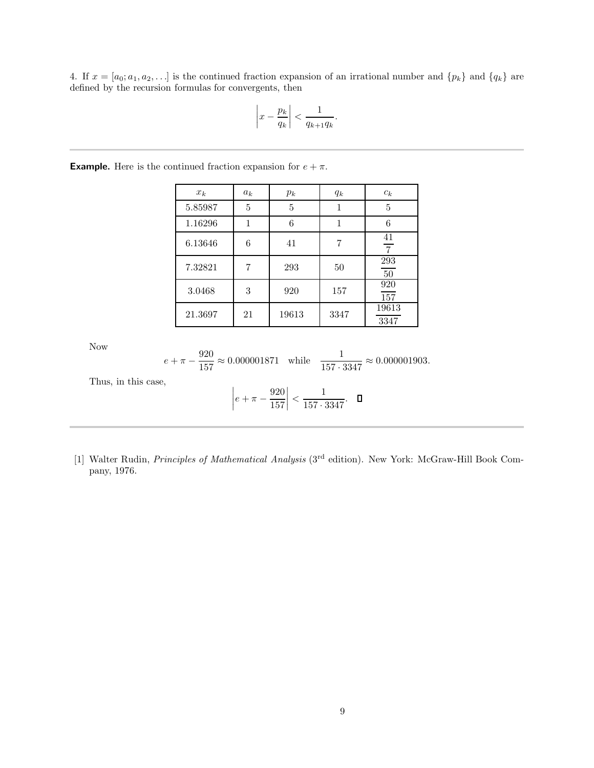4. If  $x = [a_0; a_1, a_2, \ldots]$  is the continued fraction expansion of an irrational number and  $\{p_k\}$  and  $\{q_k\}$  are defined by the recursion formulas for convergents, then

$$
\left|x - \frac{p_k}{q_k}\right| < \frac{1}{q_{k+1}q_k}.
$$

| $x_k$   | $a_k$ | $p_k$ | $q_k$ | $c_k$                |
|---------|-------|-------|-------|----------------------|
| 5.85987 | 5     | 5     |       | 5                    |
| 1.16296 |       | 6     |       | 6                    |
| 6.13646 | 6     | 41    |       | 41<br>$\overline{7}$ |
| 7.32821 |       | 293   | 50    | 293<br>$50\,$        |
| 3.0468  | 3     | 920   | 157   | 920<br>157           |
| 21.3697 | 21    | 19613 | 3347  | 19613<br>3347        |

**Example.** Here is the continued fraction expansion for  $e + \pi$ .

Now

$$
e + \pi - \frac{920}{157} \approx 0.000001871
$$
 while  $\frac{1}{157 \cdot 3347} \approx 0.000001903$ .

Thus, in this case,

$$
\left| e + \pi - \frac{920}{157} \right| < \frac{1}{157 \cdot 3347}. \quad \Box
$$

[1] Walter Rudin, *Principles of Mathematical Analysis* (3<sup>rd</sup> edition). New York: McGraw-Hill Book Company, 1976.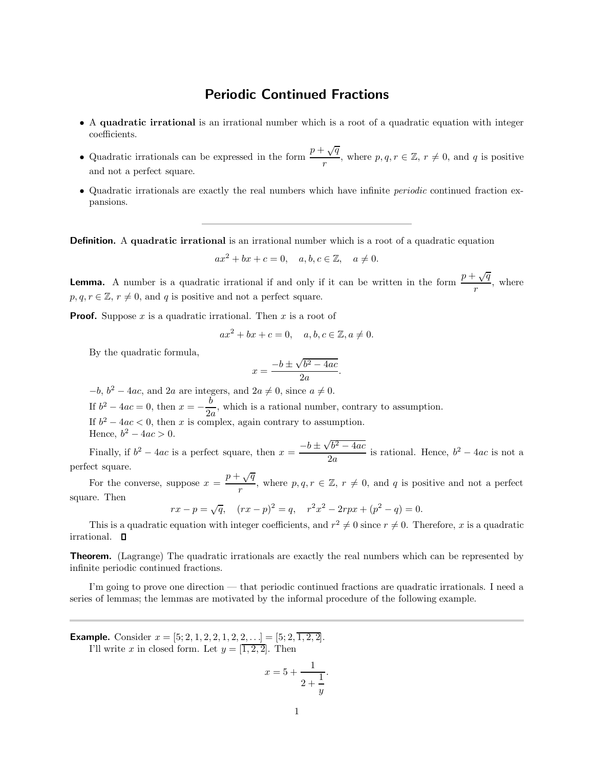## Periodic Continued Fractions

- A quadratic irrational is an irrational number which is a root of a quadratic equation with integer coefficients.
- Quadratic irrationals can be expressed in the form  $\frac{p + \sqrt{q}}{r}$  $\frac{r \sqrt{q}}{r}$ , where  $p, q, r \in \mathbb{Z}, r \neq 0$ , and q is positive and not a perfect square.
- Quadratic irrationals are exactly the real numbers which have infinite periodic continued fraction expansions.

**Definition.** A quadratic irrational is an irrational number which is a root of a quadratic equation

$$
ax^2 + bx + c = 0, \quad a, b, c \in \mathbb{Z}, \quad a \neq 0.
$$

**Lemma.** A number is a quadratic irrational if and only if it can be written in the form  $\frac{p + \sqrt{q}}{q}$  $\frac{\sqrt{2}}{r}$ , where  $p, q, r \in \mathbb{Z}, r \neq 0$ , and q is positive and not a perfect square.

**Proof.** Suppose x is a quadratic irrational. Then x is a root of

$$
ax^2 + bx + c = 0, \quad a, b, c \in \mathbb{Z}, a \neq 0.
$$

By the quadratic formula,

$$
x = \frac{-b \pm \sqrt{b^2 - 4ac}}{2a}.
$$

 $-b, b^2 - 4ac$ , and  $2a$  are integers, and  $2a \neq 0$ , since  $a \neq 0$ .

If  $b^2 - 4ac = 0$ , then  $x = -\frac{b}{2a}$  $\frac{0}{2a}$ , which is a rational number, contrary to assumption.

If  $b^2 - 4ac < 0$ , then x is complex, again contrary to assumption.

Hence,  $b^2 - 4ac > 0$ .

Finally, if  $b^2 - 4ac$  is a perfect square, then  $x = \frac{-b \pm \sqrt{b^2 - 4ac}}{2a}$  $\frac{1}{2a}$  is rational. Hence,  $b^2 - 4ac$  is not a perfect square.

For the converse, suppose  $x = \frac{p + \sqrt{q}}{q}$  $\frac{r \vee q}{r}$ , where  $p, q, r \in \mathbb{Z}$ ,  $r \neq 0$ , and q is positive and not a perfect square. Then

 $rx - p = \sqrt{q}$ ,  $(rx - p)^2 = q$ ,  $r^2x^2 - 2rpx + (p^2 - q) = 0$ .

This is a quadratic equation with integer coefficients, and  $r^2 \neq 0$  since  $r \neq 0$ . Therefore, x is a quadratic irrational.  $\square$ 

**Theorem.** (Lagrange) The quadratic irrationals are exactly the real numbers which can be represented by infinite periodic continued fractions.

I'm going to prove one direction — that periodic continued fractions are quadratic irrationals. I need a series of lemmas; the lemmas are motivated by the informal procedure of the following example.

**Example.** Consider  $x = [5; 2, 1, 2, 2, 1, 2, 2, \ldots] = [5; 2, \overline{1, 2, 2}]$ .

I'll write x in closed form. Let  $y = [\overline{1, 2, 2}]$ . Then

$$
x = 5 + \frac{1}{2 + \frac{1}{y}}.
$$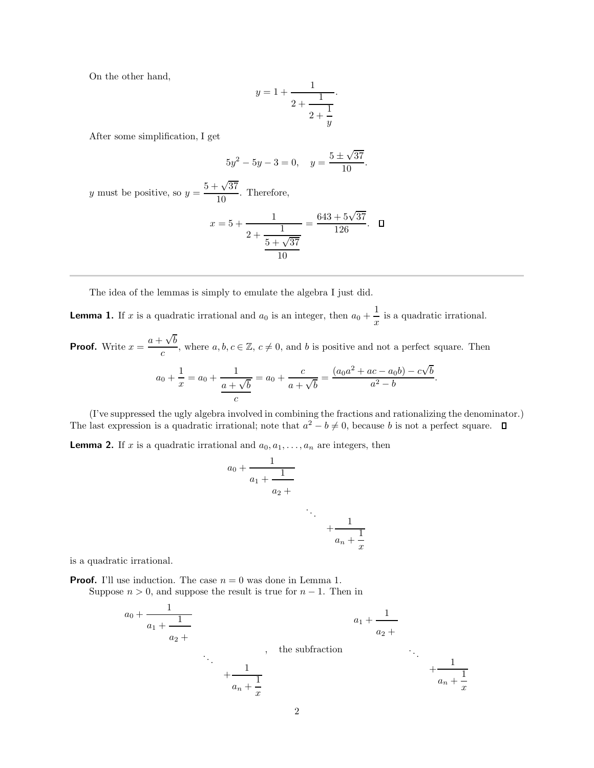On the other hand,

$$
y = 1 + \cfrac{1}{2 + \cfrac{1}{2 + \cfrac{1}{y}}}.
$$

After some simplification, I get

$$
5y^2 - 5y - 3 = 0, \quad y = \frac{5 \pm \sqrt{37}}{10}.
$$

y must be positive, so  $y = \frac{5 + \sqrt{37}}{10}$  $\frac{10}{10}$ . Therefore,

$$
x = 5 + \frac{1}{2 + \frac{1}{\frac{5 + \sqrt{37}}{10}}} = \frac{643 + 5\sqrt{37}}{126}. \quad \Box
$$

The idea of the lemmas is simply to emulate the algebra I just did.

**Lemma 1.** If x is a quadratic irrational and  $a_0$  is an integer, then  $a_0 + \frac{1}{a_0}$  $\frac{1}{x}$  is a quadratic irrational.

**Proof.** Write  $x = \frac{a + \sqrt{b}}{b}$  $\frac{\partial^2 \mathbf{v} \cdot \partial}{\partial c}$ , where  $a, b, c \in \mathbb{Z}, c \neq 0$ , and b is positive and not a perfect square. Then

$$
a_0 + \frac{1}{x} = a_0 + \frac{1}{\frac{a + \sqrt{b}}{c}} = a_0 + \frac{c}{a + \sqrt{b}} = \frac{(a_0a^2 + ac - a_0b) - c\sqrt{b}}{a^2 - b}
$$

.

(I've suppressed the ugly algebra involved in combining the fractions and rationalizing the denominator.) The last expression is a quadratic irrational; note that  $a^2 - b \neq 0$ , because b is not a perfect square.

**Lemma 2.** If x is a quadratic irrational and  $a_0, a_1, \ldots, a_n$  are integers, then

$$
a_0 + \cfrac{1}{a_1 + \cfrac{1}{a_2 + \cfrac{1}{a_n + \cfrac{1}{x}}}}
$$

is a quadratic irrational.

**Proof.** I'll use induction. The case  $n = 0$  was done in Lemma 1. Suppose  $n > 0$ , and suppose the result is true for  $n - 1$ . Then in

$$
a_0 + \frac{1}{a_1 + \frac{1}{a_2 + \cdots + \frac{1}{a_n + \frac{1}{x}}}}
$$
\n  
\n
$$
a_1 + \frac{1}{a_2 + \cdots + \frac{1}{a_n + \frac{1}{x}}}
$$
\n  
\n
$$
a_2 + \cdots + \frac{1}{a_n + \frac{1}{x}}
$$
\n  
\n
$$
a_n + \frac{1}{x}
$$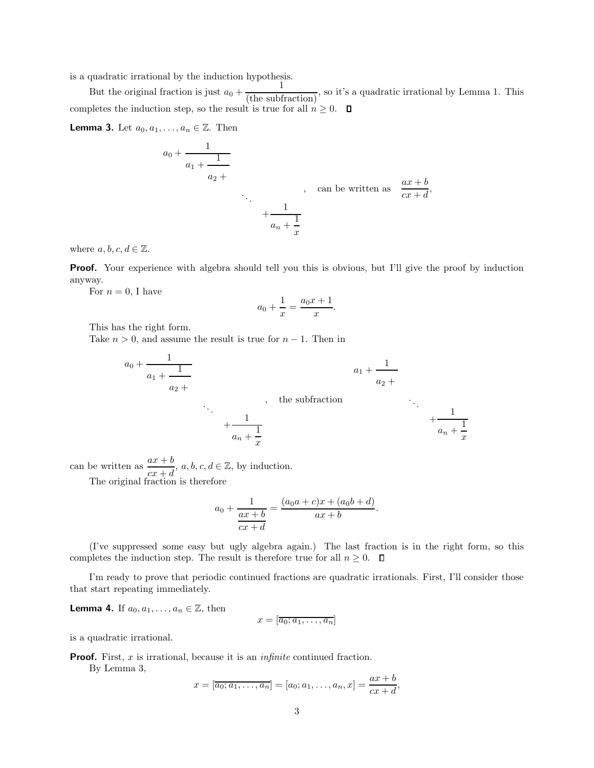is a quadratic irrational by the induction hypothesis.

But the original fraction is just  $a_0 + \frac{1}{(\text{the subtraction})}$ , so it's a quadratic irrational by Lemma 1. This 1 completes the induction step, so the result is true for all  $n \geq 0$ .  $\Box$ 

**Lemma 3.** Let  $a_0, a_1, \ldots, a_n \in \mathbb{Z}$ . Then

$$
a_0 + \frac{1}{a_1 + \frac{1}{a_2 + \cdots + \frac{1}{a_n + \frac{1}{x}}}}
$$
, can be written as 
$$
\frac{ax + b}{cx + d}
$$
,

where  $a, b, c, d \in \mathbb{Z}$ .

**Proof.** Your experience with algebra should tell you this is obvious, but I'll give the proof by induction anyway.

For  $n = 0$ , I have

$$
a_0 + \frac{1}{x} = \frac{a_0 x + 1}{x}.
$$

This has the right form.

Take  $n > 0$ , and assume the result is true for  $n - 1$ . Then in

a<sup>0</sup> + 1 a<sup>1</sup> + 1 a<sup>2</sup> + . . . + 1 a<sup>n</sup> + 1 x , the subfraction a<sup>1</sup> + 1 a<sup>2</sup> + . . . + 1 a<sup>n</sup> + 1 x

can be written as  $\frac{ax+b}{cx+d}$ ,  $a, b, c, d \in \mathbb{Z}$ , by induction.

The original fraction is therefore

$$
a_0 + \frac{1}{\frac{ax+b}{cx+d}} = \frac{(a_0a+c)x + (a_0b+d)}{ax+b}.
$$

(I've suppressed some easy but ugly algebra again.) The last fraction is in the right form, so this completes the induction step. The result is therefore true for all  $n \geq 0$ .  $\Box$ 

I'm ready to prove that periodic continued fractions are quadratic irrationals. First, I'll consider those that start repeating immediately.

**Lemma 4.** If 
$$
a_0, a_1, \ldots, a_n \in \mathbb{Z}
$$
, then

$$
x = [\overline{a_0; a_1, \ldots, a_n}]
$$

is a quadratic irrational.

**Proof.** First,  $x$  is irrational, because it is an *infinite* continued fraction.

By Lemma 3,

$$
x = [\overline{a_0; a_1, \dots, a_n}] = [a_0; a_1, \dots, a_n, x] = \frac{ax + b}{cx + d},
$$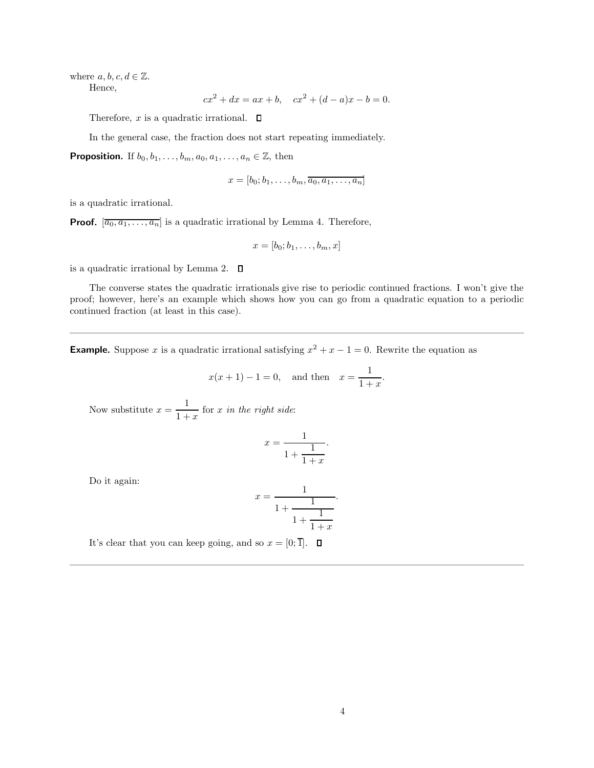where  $a, b, c, d \in \mathbb{Z}$ .

Hence,

$$
cx^2 + dx = ax + b, \quad cx^2 + (d - a)x - b = 0.
$$

Therefore, x is a quadratic irrational.  $\Box$ 

In the general case, the fraction does not start repeating immediately.

**Proposition.** If  $b_0, b_1, \ldots, b_m, a_0, a_1, \ldots, a_n \in \mathbb{Z}$ , then

$$
x = [b_0; b_1, \ldots, b_m, \overline{a_0, a_1, \ldots, a_n}]
$$

is a quadratic irrational.

**Proof.**  $[a_0, a_1, \ldots, a_n]$  is a quadratic irrational by Lemma 4. Therefore,

$$
x=[b_0;b_1,\ldots,b_m,x]
$$

is a quadratic irrational by Lemma 2.

The converse states the quadratic irrationals give rise to periodic continued fractions. I won't give the proof; however, here's an example which shows how you can go from a quadratic equation to a periodic continued fraction (at least in this case).

**Example.** Suppose x is a quadratic irrational satisfying  $x^2 + x - 1 = 0$ . Rewrite the equation as

$$
x(x + 1) - 1 = 0
$$
, and then  $x = \frac{1}{1 + x}$ .

Now substitute  $x=\frac{1}{1+x^2}$  $\frac{1}{1+x}$  for x in the right side:

$$
x = \frac{1}{1 + \frac{1}{1 + x}}.
$$

Do it again:

$$
x = \frac{1}{1 + \frac{1}{1 + \frac{1}{1 + x}}}.
$$

It's clear that you can keep going, and so  $x = [0; \overline{1}]$ .  $\Box$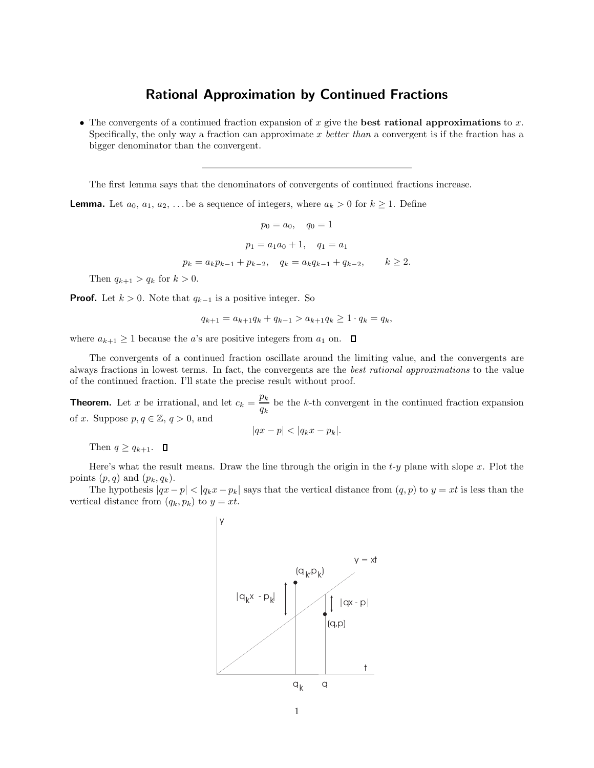## Rational Approximation by Continued Fractions

• The convergents of a continued fraction expansion of x give the **best rational approximations** to x. Specifically, the only way a fraction can approximate  $x$  better than a convergent is if the fraction has a bigger denominator than the convergent.

The first lemma says that the denominators of convergents of continued fractions increase.

**Lemma.** Let  $a_0, a_1, a_2, \ldots$  be a sequence of integers, where  $a_k > 0$  for  $k \ge 1$ . Define

$$
p_0 = a_0, \quad q_0 = 1
$$
  
\n
$$
p_1 = a_1 a_0 + 1, \quad q_1 = a_1
$$
  
\n
$$
p_k = a_k p_{k-1} + p_{k-2}, \quad q_k = a_k q_{k-1} + q_{k-2}, \quad k \ge 2.
$$

Then  $q_{k+1} > q_k$  for  $k > 0$ .

**Proof.** Let  $k > 0$ . Note that  $q_{k-1}$  is a positive integer. So

$$
q_{k+1} = a_{k+1}q_k + q_{k-1} > a_{k+1}q_k \ge 1 \cdot q_k = q_k,
$$

where  $a_{k+1} \geq 1$  because the *a*'s are positive integers from  $a_1$  on.  $\Box$ 

The convergents of a continued fraction oscillate around the limiting value, and the convergents are always fractions in lowest terms. In fact, the convergents are the best rational approximations to the value of the continued fraction. I'll state the precise result without proof.

**Theorem.** Let x be irrational, and let  $c_k = \frac{p_k}{p_k}$  $\frac{\partial F}{\partial k}$  be the k-th convergent in the continued fraction expansion of x. Suppose  $p, q \in \mathbb{Z}, q > 0$ , and

$$
|qx - p| < |q_k x - p_k|.
$$

Then  $q \geq q_{k+1}$ .  $\Box$ 

Here's what the result means. Draw the line through the origin in the  $t-y$  plane with slope x. Plot the points  $(p, q)$  and  $(p_k, q_k)$ .

The hypothesis  $|qx-p| < |q_kx-p_k|$  says that the vertical distance from  $(q, p)$  to  $y = xt$  is less than the vertical distance from  $(q_k, p_k)$  to  $y = xt$ .

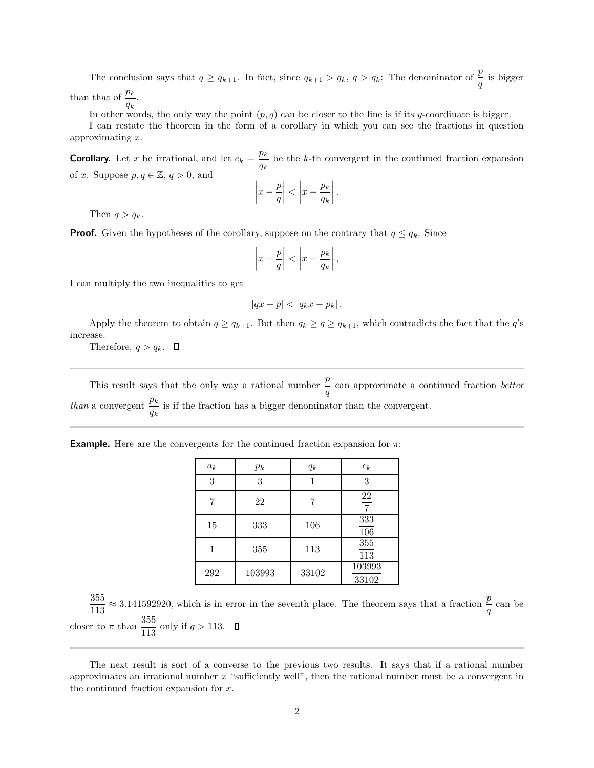The conclusion says that  $q \ge q_{k+1}$ . In fact, since  $q_{k+1} > q_k$ ,  $q > q_k$ : The denominator of  $\frac{p}{q}$  is bigger than that of  $\frac{p_k}{q_k}$ .

In other words, the only way the point  $(p, q)$  can be closer to the line is if its y-coordinate is bigger.

I can restate the theorem in the form of a corollary in which you can see the fractions in question approximating x.

**Corollary.** Let x be irrational, and let  $c_k = \frac{p_k}{p_k}$  $\frac{P\kappa}{q_k}$  be the k-th convergent in the continued fraction expansion of x. Suppose  $p, q \in \mathbb{Z}, q > 0$ , and

$$
\left|x - \frac{p}{q}\right| < \left|x - \frac{p_k}{q_k}\right|.
$$

Then  $q > q_k$ .

**Proof.** Given the hypotheses of the corollary, suppose on the contrary that  $q \leq q_k$ . Since

$$
\left|x - \frac{p}{q}\right| < \left|x - \frac{p_k}{q_k}\right|,
$$

I can multiply the two inequalities to get

$$
|qx - p| < |q_k x - p_k| \, .
$$

Apply the theorem to obtain  $q \ge q_{k+1}$ . But then  $q_k \ge q \ge q_{k+1}$ , which contradicts the fact that the  $q$ 's increase.

Therefore,  $q > q_k$ .  $\Box$ 

This result says that the only way a rational number  $\frac{p}{q}$  can approximate a continued fraction *better than* a convergent  $\frac{p_k}{p_k}$  $\frac{P\kappa}{q_k}$  is if the fraction has a bigger denominator than the convergent.

| <b>Example.</b> Here are the convergents for the continued fraction expansion for $\pi$ : |  |  |  |
|-------------------------------------------------------------------------------------------|--|--|--|
|-------------------------------------------------------------------------------------------|--|--|--|

| $a_k$ | $p_k$  | $q_k$ | $c_k$                |
|-------|--------|-------|----------------------|
| 3     | 3      | 1     | 3                    |
|       | 22     |       | 22<br>$\overline{7}$ |
| 15    | 333    | 106   | 333<br>106           |
|       | 355    | 113   | 355<br>113           |
| 292   | 103993 | 33102 | 103993<br>33102      |

355  $\frac{355}{113} \approx 3.141592920$ , which is in error in the seventh place. The theorem says that a fraction  $\frac{p}{q}$  can be closer to  $\pi$  than  $\frac{355}{113}$  only if  $q > 113$ .

The next result is sort of a converse to the previous two results. It says that if a rational number approximates an irrational number  $x$  "sufficiently well", then the rational number must be a convergent in the continued fraction expansion for  $x$ .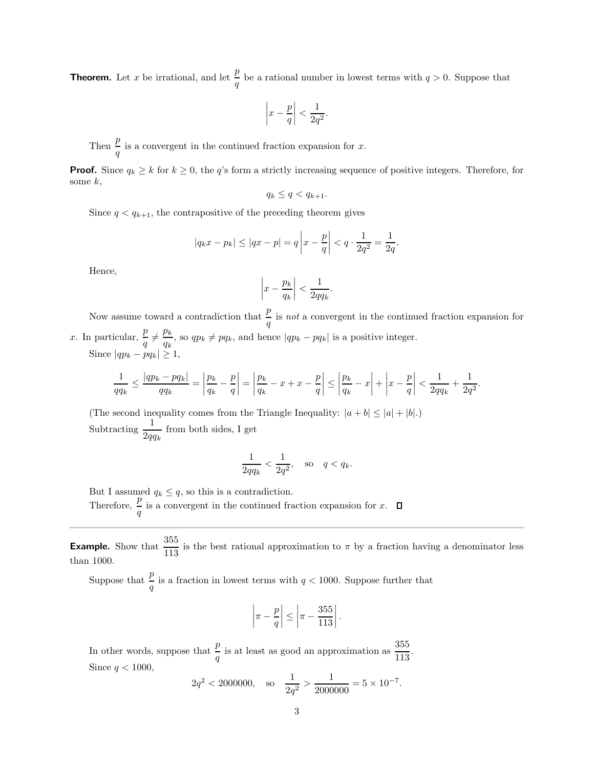**Theorem.** Let x be irrational, and let  $\frac{p}{q}$  be a rational number in lowest terms with  $q > 0$ . Suppose that

$$
\left| x - \frac{p}{q} \right| < \frac{1}{2q^2}.
$$

Then  $\frac{p}{q}$  is a convergent in the continued fraction expansion for x.

**Proof.** Since  $q_k \ge k$  for  $k \ge 0$ , the q's form a strictly increasing sequence of positive integers. Therefore, for some  $k$ ,

$$
q_k \leq q < q_{k+1}.
$$

Since  $q < q_{k+1}$ , the contrapositive of the preceding theorem gives

$$
|q_k x - p_k| \le |qx - p| = q \left| x - \frac{p}{q} \right| < q \cdot \frac{1}{2q^2} = \frac{1}{2q}.
$$

Hence,

$$
\left|x - \frac{p_k}{q_k}\right| < \frac{1}{2qq_k}.
$$

Now assume toward a contradiction that  $\frac{p}{q}$  is *not* a convergent in the continued fraction expansion for x. In particular,  $\frac{p}{q} \neq \frac{p_k}{q_k}$  $\frac{p_k}{q_k}$ , so  $qp_k \ne pq_k$ , and hence  $|qp_k - pq_k|$  is a positive integer. Since  $|qp_k - pq_k| \geq 1$ ,

$$
\frac{1}{qq_k}\leq\frac{|qp_k-pq_k|}{qq_k}=\left|\frac{p_k}{q_k}-\frac{p}{q}\right|=\left|\frac{p_k}{q_k}-x+x-\frac{p}{q}\right|\leq\left|\frac{p_k}{q_k}-x\right|+\left|x-\frac{p}{q}\right|<\frac{1}{2qq_k}+\frac{1}{2q^2}.
$$

(The second inequality comes from the Triangle Inequality:  $|a + b| \leq |a| + |b|$ .) Subtracting  $\frac{1}{2qq_k}$  from both sides, I get

$$
\frac{1}{2qq_k} < \frac{1}{2q^2}, \quad \text{so} \quad q < q_k.
$$

But I assumed  $q_k \leq q$ , so this is a contradiction.

Therefore,  $\frac{p}{q}$  is a convergent in the continued fraction expansion for x.

**Example.** Show that  $\frac{355}{113}$  is the best rational approximation to  $\pi$  by a fraction having a denominator less than 1000.

Suppose that  $\frac{p}{q}$  is a fraction in lowest terms with  $q < 1000$ . Suppose further that

$$
\left|\pi-\frac{p}{q}\right| \le \left|\pi-\frac{355}{113}\right|.
$$

In other words, suppose that  $\frac{p}{q}$  is at least as good an approximation as  $\frac{355}{113}$ . Since  $q < 1000$ ,

$$
2q^2 < 2000000
$$
, so  $\frac{1}{2q^2} > \frac{1}{2000000} = 5 \times 10^{-7}$ .